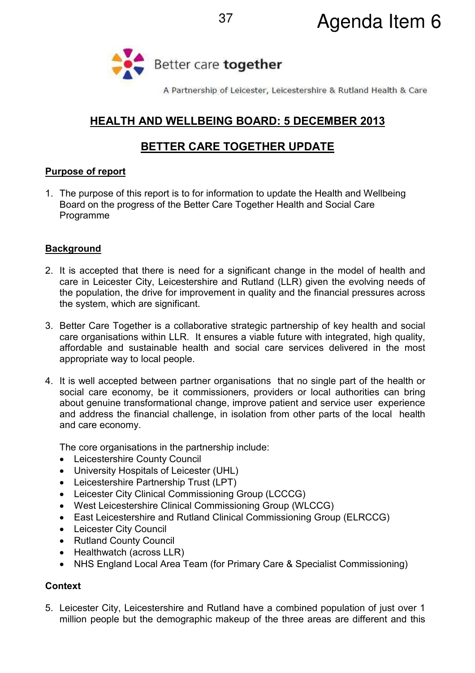

A Partnership of Leicester, Leicestershire & Rutland Health & Care

# **HEALTH AND WELLBEING BOARD: 5 DECEMBER 2013**

# **BETTER CARE TOGETHER UPDATE**

# **Purpose of report**

1. The purpose of this report is to for information to update the Health and Wellbeing Board on the progress of the Better Care Together Health and Social Care Programme

# **Background**

- 2. It is accepted that there is need for a significant change in the model of health and care in Leicester City, Leicestershire and Rutland (LLR) given the evolving needs of the population, the drive for improvement in quality and the financial pressures across the system, which are significant.
- 3. Better Care Together is a collaborative strategic partnership of key health and social care organisations within LLR. It ensures a viable future with integrated, high quality, affordable and sustainable health and social care services delivered in the most appropriate way to local people.
- 4. It is well accepted between partner organisations that no single part of the health or social care economy, be it commissioners, providers or local authorities can bring about genuine transformational change, improve patient and service user experience and address the financial challenge, in isolation from other parts of the local health and care economy.

The core organisations in the partnership include:

- Leicestershire County Council
- University Hospitals of Leicester (UHL)
- Leicestershire Partnership Trust (LPT)
- Leicester City Clinical Commissioning Group (LCCCG)
- West Leicestershire Clinical Commissioning Group (WLCCG)
- East Leicestershire and Rutland Clinical Commissioning Group (ELRCCG)
- Leicester City Council
- Rutland County Council
- Healthwatch (across LLR)
- NHS England Local Area Team (for Primary Care & Specialist Commissioning)

# **Context**

5. Leicester City, Leicestershire and Rutland have a combined population of just over 1 million people but the demographic makeup of the three areas are different and this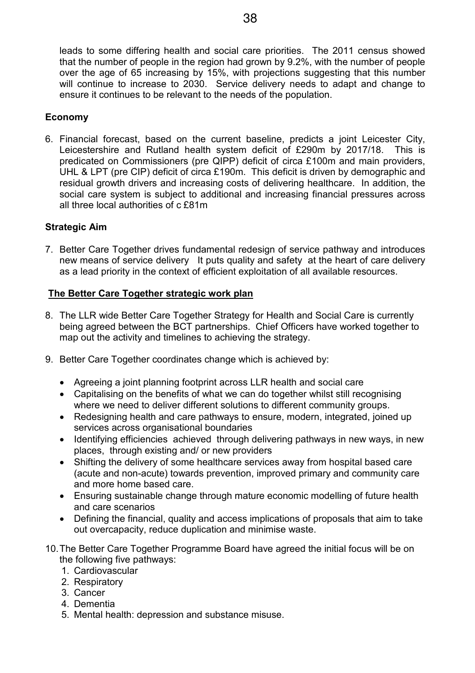leads to some differing health and social care priorities. The 2011 census showed that the number of people in the region had grown by 9.2%, with the number of people over the age of 65 increasing by 15%, with projections suggesting that this number will continue to increase to 2030. Service delivery needs to adapt and change to ensure it continues to be relevant to the needs of the population.

## **Economy**

6. Financial forecast, based on the current baseline, predicts a joint Leicester City, Leicestershire and Rutland health system deficit of £290m by 2017/18. This is predicated on Commissioners (pre QIPP) deficit of circa £100m and main providers, UHL & LPT (pre CIP) deficit of circa £190m. This deficit is driven by demographic and residual growth drivers and increasing costs of delivering healthcare. In addition, the social care system is subject to additional and increasing financial pressures across all three local authorities of c £81m

## **Strategic Aim**

7. Better Care Together drives fundamental redesign of service pathway and introduces new means of service delivery It puts quality and safety at the heart of care delivery as a lead priority in the context of efficient exploitation of all available resources.

## **The Better Care Together strategic work plan**

- 8. The LLR wide Better Care Together Strategy for Health and Social Care is currently being agreed between the BCT partnerships. Chief Officers have worked together to map out the activity and timelines to achieving the strategy.
- 9. Better Care Together coordinates change which is achieved by:
	- Agreeing a joint planning footprint across LLR health and social care
	- Capitalising on the benefits of what we can do together whilst still recognising where we need to deliver different solutions to different community groups.
	- Redesigning health and care pathways to ensure, modern, integrated, joined up services across organisational boundaries
	- Identifying efficiencies achieved through delivering pathways in new ways, in new places, through existing and/ or new providers
	- Shifting the delivery of some healthcare services away from hospital based care (acute and non-acute) towards prevention, improved primary and community care and more home based care.
	- Ensuring sustainable change through mature economic modelling of future health and care scenarios
	- Defining the financial, quality and access implications of proposals that aim to take out overcapacity, reduce duplication and minimise waste.
- 10. The Better Care Together Programme Board have agreed the initial focus will be on the following five pathways:
	- 1. Cardiovascular
	- 2. Respiratory
	- 3. Cancer
	- 4. Dementia
	- 5. Mental health: depression and substance misuse.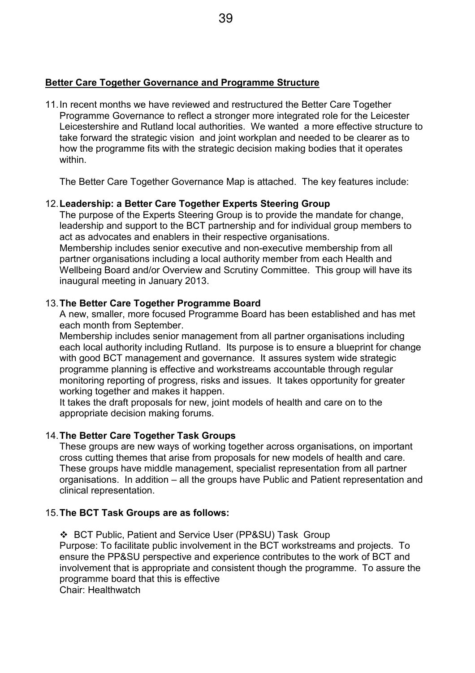#### **Better Care Together Governance and Programme Structure**

11. In recent months we have reviewed and restructured the Better Care Together Programme Governance to reflect a stronger more integrated role for the Leicester Leicestershire and Rutland local authorities. We wanted a more effective structure to take forward the strategic vision and joint workplan and needed to be clearer as to how the programme fits with the strategic decision making bodies that it operates within.

The Better Care Together Governance Map is attached. The key features include:

# 12. **Leadership: a Better Care Together Experts Steering Group**

The purpose of the Experts Steering Group is to provide the mandate for change, leadership and support to the BCT partnership and for individual group members to act as advocates and enablers in their respective organisations. Membership includes senior executive and non-executive membership from all partner organisations including a local authority member from each Health and Wellbeing Board and/or Overview and Scrutiny Committee. This group will have its inaugural meeting in January 2013.

# 13. **The Better Care Together Programme Board**

A new, smaller, more focused Programme Board has been established and has met each month from September.

Membership includes senior management from all partner organisations including each local authority including Rutland. Its purpose is to ensure a blueprint for change with good BCT management and governance. It assures system wide strategic programme planning is effective and workstreams accountable through regular monitoring reporting of progress, risks and issues. It takes opportunity for greater working together and makes it happen.

It takes the draft proposals for new, joint models of health and care on to the appropriate decision making forums.

# 14. **The Better Care Together Task Groups**

These groups are new ways of working together across organisations, on important cross cutting themes that arise from proposals for new models of health and care. These groups have middle management, specialist representation from all partner organisations. In addition – all the groups have Public and Patient representation and clinical representation.

# 15. **The BCT Task Groups are as follows:**

 BCT Public, Patient and Service User (PP&SU) Task Group Purpose: To facilitate public involvement in the BCT workstreams and projects. To ensure the PP&SU perspective and experience contributes to the work of BCT and involvement that is appropriate and consistent though the programme. To assure the programme board that this is effective Chair: Healthwatch